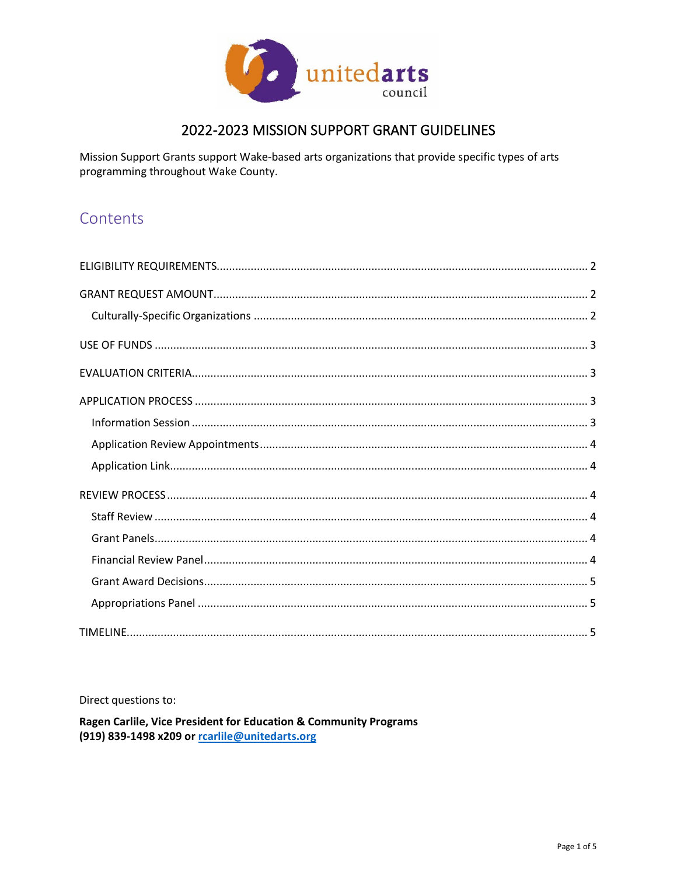

### 2022-2023 MISSION SUPPORT GRANT GUIDELINES

Mission Support Grants support Wake-based arts organizations that provide specific types of arts programming throughout Wake County.

## Contents

Direct questions to:

Ragen Carlile, Vice President for Education & Community Programs (919) 839-1498 x209 or roarlile@unitedarts.org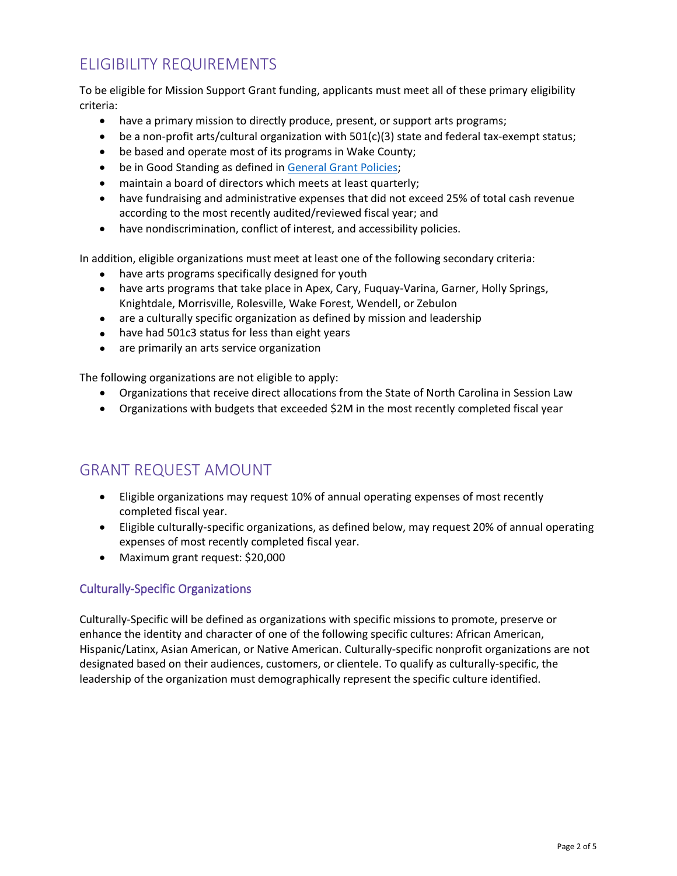# <span id="page-1-0"></span>ELIGIBILITY REQUIREMENTS

To be eligible for Mission Support Grant funding, applicants must meet all of these primary eligibility criteria:

- have a primary mission to directly produce, present, or support arts programs;
- be a non-profit arts/cultural organization with 501(c)(3) state and federal tax-exempt status;
- be based and operate most of its programs in Wake County;
- be in Good Standing as defined in [General Grant Policies;](https://unitedarts.org/grants/programming-grant-guidelines/general-grant-policies/)
- maintain a board of directors which meets at least quarterly;
- have fundraising and administrative expenses that did not exceed 25% of total cash revenue according to the most recently audited/reviewed fiscal year; and
- have nondiscrimination, conflict of interest, and accessibility policies.

In addition, eligible organizations must meet at least one of the following secondary criteria:

- have arts programs specifically designed for youth
- have arts programs that take place in Apex, Cary, Fuquay-Varina, Garner, Holly Springs, Knightdale, Morrisville, Rolesville, Wake Forest, Wendell, or Zebulon
- are a culturally specific organization as defined by mission and leadership
- have had 501c3 status for less than eight years
- are primarily an arts service organization

The following organizations are not eligible to apply:

- Organizations that receive direct allocations from the State of North Carolina in Session Law
- Organizations with budgets that exceeded \$2M in the most recently completed fiscal year

# <span id="page-1-1"></span>GRANT REQUEST AMOUNT

- Eligible organizations may request 10% of annual operating expenses of most recently completed fiscal year.
- Eligible culturally-specific organizations, as defined below, may request 20% of annual operating expenses of most recently completed fiscal year.
- Maximum grant request: \$20,000

#### <span id="page-1-2"></span>Culturally-Specific Organizations

Culturally-Specific will be defined as organizations with specific missions to promote, preserve or enhance the identity and character of one of the following specific cultures: African American, Hispanic/Latinx, Asian American, or Native American. Culturally-specific nonprofit organizations are not designated based on their audiences, customers, or clientele. To qualify as culturally-specific, the leadership of the organization must demographically represent the specific culture identified.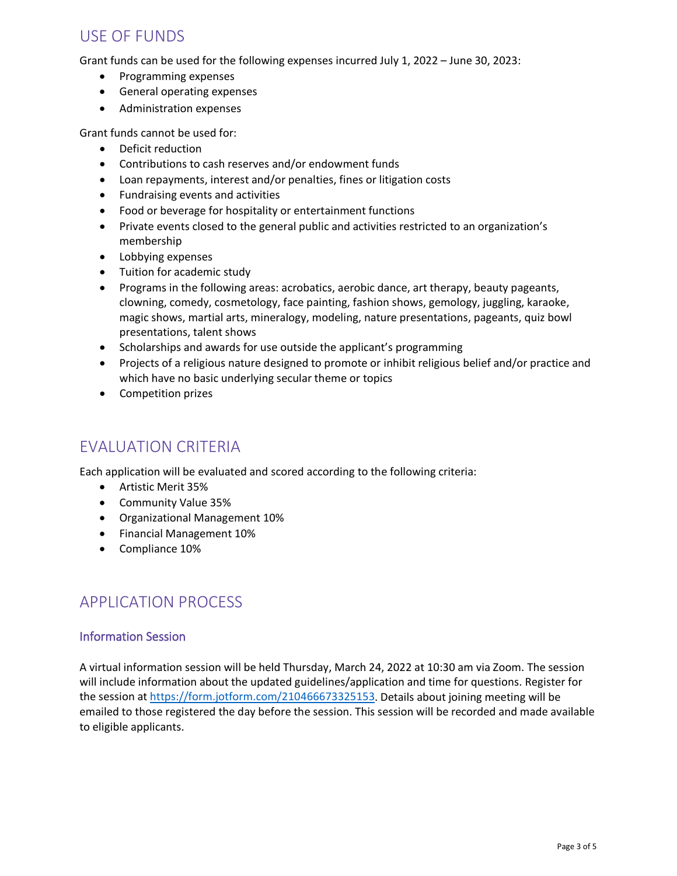### <span id="page-2-0"></span>USE OF FUNDS

Grant funds can be used for the following expenses incurred July 1, 2022 – June 30, 2023:

- Programming expenses
- General operating expenses
- Administration expenses

Grant funds cannot be used for:

- Deficit reduction
- Contributions to cash reserves and/or endowment funds
- Loan repayments, interest and/or penalties, fines or litigation costs
- Fundraising events and activities
- Food or beverage for hospitality or entertainment functions
- Private events closed to the general public and activities restricted to an organization's membership
- Lobbying expenses
- Tuition for academic study
- Programs in the following areas: acrobatics, aerobic dance, art therapy, beauty pageants, clowning, comedy, cosmetology, face painting, fashion shows, gemology, juggling, karaoke, magic shows, martial arts, mineralogy, modeling, nature presentations, pageants, quiz bowl presentations, talent shows
- Scholarships and awards for use outside the applicant's programming
- Projects of a religious nature designed to promote or inhibit religious belief and/or practice and which have no basic underlying secular theme or topics
- Competition prizes

### <span id="page-2-1"></span>EVALUATION CRITERIA

Each application will be evaluated and scored according to the following criteria:

- Artistic Merit 35%
- Community Value 35%
- Organizational Management 10%
- Financial Management 10%
- Compliance 10%

### <span id="page-2-2"></span>APPLICATION PROCESS

#### <span id="page-2-3"></span>Information Session

<span id="page-2-4"></span>A virtual information session will be held Thursday, March 24, 2022 at 10:30 am via Zoom. The session will include information about the updated guidelines/application and time for questions. Register for the session at [https://form.jotform.com/210466673325153.](https://form.jotform.com/210466673325153) Details about joining meeting will be emailed to those registered the day before the session. This session will be recorded and made available to eligible applicants.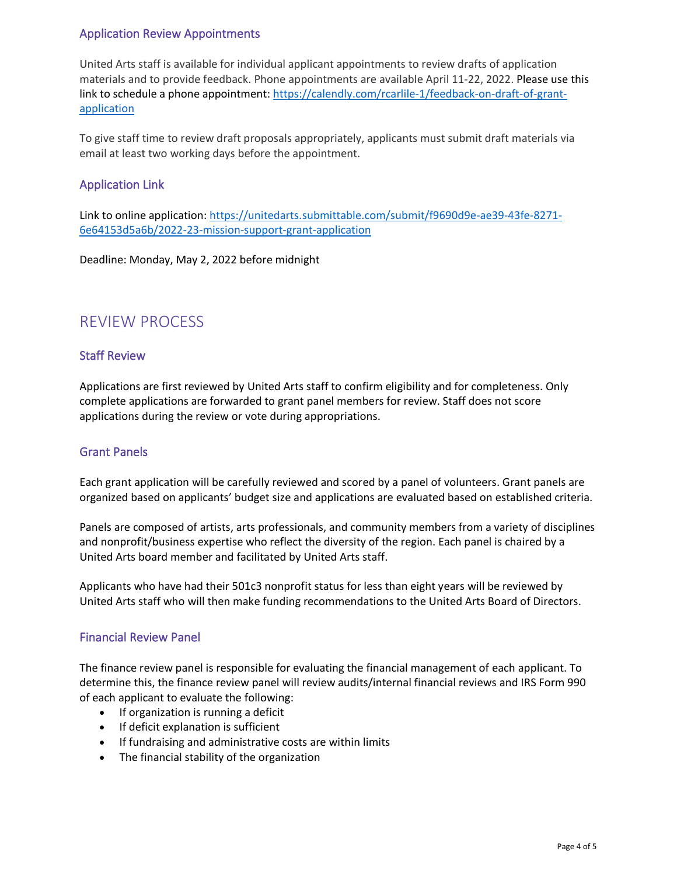### Application Review Appointments

United Arts staff is available for individual applicant appointments to review drafts of application materials and to provide feedback. Phone appointments are available April 11-22, 2022. Please use this link to schedule a phone appointment: [https://calendly.com/rcarlile-1/feedback-on-draft-of-grant](https://calendly.com/rcarlile-1/feedback-on-draft-of-grant-application)[application](https://calendly.com/rcarlile-1/feedback-on-draft-of-grant-application)

To give staff time to review draft proposals appropriately, applicants must submit draft materials via email at least two working days before the appointment.

### <span id="page-3-0"></span>Application Link

Link to online application: [https://unitedarts.submittable.com/submit/f9690d9e-ae39-43fe-8271-](https://unitedarts.submittable.com/submit/f9690d9e-ae39-43fe-8271-6e64153d5a6b/2022-23-mission-support-grant-application) [6e64153d5a6b/2022-23-mission-support-grant-application](https://unitedarts.submittable.com/submit/f9690d9e-ae39-43fe-8271-6e64153d5a6b/2022-23-mission-support-grant-application)

Deadline: Monday, May 2, 2022 before midnight

## <span id="page-3-1"></span>REVIEW PROCESS

#### <span id="page-3-2"></span>Staff Review

Applications are first reviewed by United Arts staff to confirm eligibility and for completeness. Only complete applications are forwarded to grant panel members for review. Staff does not score applications during the review or vote during appropriations.

#### <span id="page-3-3"></span>Grant Panels

Each grant application will be carefully reviewed and scored by a panel of volunteers. Grant panels are organized based on applicants' budget size and applications are evaluated based on established criteria.

Panels are composed of artists, arts professionals, and community members from a variety of disciplines and nonprofit/business expertise who reflect the diversity of the region. Each panel is chaired by a United Arts board member and facilitated by United Arts staff.

Applicants who have had their 501c3 nonprofit status for less than eight years will be reviewed by United Arts staff who will then make funding recommendations to the United Arts Board of Directors.

#### <span id="page-3-4"></span>Financial Review Panel

The finance review panel is responsible for evaluating the financial management of each applicant. To determine this, the finance review panel will review audits/internal financial reviews and IRS Form 990 of each applicant to evaluate the following:

- If organization is running a deficit
- If deficit explanation is sufficient
- If fundraising and administrative costs are within limits
- <span id="page-3-5"></span>• The financial stability of the organization